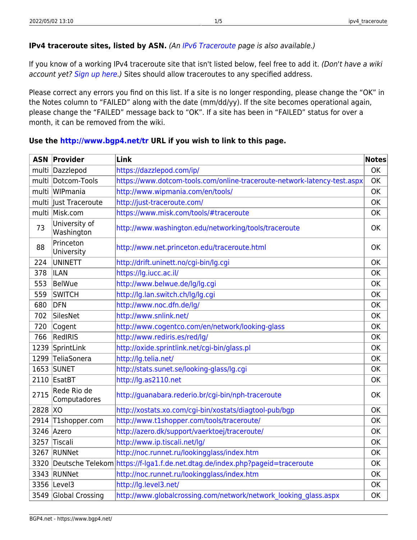## **IPv4 traceroute sites, listed by ASN.** (An [IPv6 Traceroute](https://www.bgp4.net/doku.php?id=tools:ipv6_traceroute) page is also available.)

If you know of a working IPv4 traceroute site that isn't listed below, feel free to add it. (Don't have a wiki account yet? [Sign up here](http://www.bgp4.net/wiki/doku.php?id=welcome&do=register).) Sites should allow traceroutes to any specified address.

Please correct any errors you find on this list. If a site is no longer responding, please change the "OK" in the Notes column to "FAILED" along with the date (mm/dd/yy). If the site becomes operational again, please change the "FAILED" message back to "OK". If a site has been in "FAILED" status for over a month, it can be removed from the wiki.

| <b>ASN</b> | Provider                    | Link                                                                         | <b>Notes</b> |
|------------|-----------------------------|------------------------------------------------------------------------------|--------------|
| multi      | Dazzlepod                   | https://dazzlepod.com/ip/                                                    | <b>OK</b>    |
| multi      | Dotcom-Tools                | https://www.dotcom-tools.com/online-traceroute-network-latency-test.aspx     | <b>OK</b>    |
|            | multi WIPmania              | http://www.wipmania.com/en/tools/                                            | <b>OK</b>    |
| multi      | Just Traceroute             | http://just-traceroute.com/                                                  | OK           |
|            | multi Misk.com              | https://www.misk.com/tools/#traceroute                                       | <b>OK</b>    |
| 73         | University of<br>Washington | http://www.washington.edu/networking/tools/traceroute                        | <b>OK</b>    |
| 88         | Princeton<br>University     | http://www.net.princeton.edu/traceroute.html                                 | OK           |
| 224        | <b>UNINETT</b>              | http://drift.uninett.no/cgi-bin/lg.cgi                                       | OK           |
| 378        | <b>ILAN</b>                 | https://lg.iucc.ac.il/                                                       | <b>OK</b>    |
| 553        | <b>BelWue</b>               | http://www.belwue.de/lg/lg.cgi                                               | OK           |
| 559        | <b>SWITCH</b>               | http://lg.lan.switch.ch/lg/lg.cgi                                            | OK           |
| 680        | <b>DFN</b>                  | http://www.noc.dfn.de/lg/                                                    | OK           |
| 702        | SilesNet                    | http://www.snlink.net/                                                       | <b>OK</b>    |
| 720        | Cogent                      | http://www.cogentco.com/en/network/looking-glass                             | <b>OK</b>    |
| 766        | RedIRIS                     | http://www.rediris.es/red/lg/                                                | OK           |
| 1239       | SprintLink                  | http://oxide.sprintlink.net/cgi-bin/glass.pl                                 | OK           |
|            | 1299 TeliaSonera            | http://lg.telia.net/                                                         | OK           |
|            | 1653 SUNET                  | http://stats.sunet.se/looking-glass/lg.cgi                                   | OK           |
|            | 2110 EsatBT                 | http://lg.as2110.net                                                         | <b>OK</b>    |
| 2715       | Rede Rio de<br>Computadores | http://guanabara.rederio.br/cgi-bin/nph-traceroute                           | OK           |
| 2828       | XO                          | http://xostats.xo.com/cgi-bin/xostats/diagtool-pub/bgp                       | <b>OK</b>    |
| 2914       | T1shopper.com               | http://www.t1shopper.com/tools/traceroute/                                   | <b>OK</b>    |
| 3246       | Azero                       | http://azero.dk/support/vaerktoej/traceroute/                                | <b>OK</b>    |
|            | 3257 Tiscali                | http://www.ip.tiscali.net/lg/                                                | OK           |
| 3267       | RUNNet                      | http://noc.runnet.ru/lookingglass/index.htm                                  | OK           |
| 3320       |                             | Deutsche Telekom https://f-lga1.f.de.net.dtag.de/index.php?pageid=traceroute | <b>OK</b>    |
|            | 3343 RUNNet                 | http://noc.runnet.ru/lookingglass/index.htm                                  | <b>OK</b>    |
|            | 3356 Level3                 | http://lg.level3.net/                                                        | OK           |
|            | 3549 Global Crossing        | http://www.globalcrossing.com/network/network looking glass.aspx             | OK           |

## **Use the <http://www.bgp4.net/tr> URL if you wish to link to this page.**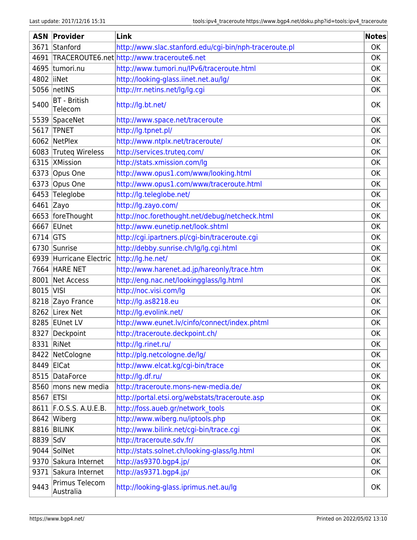| <b>ASN</b> | Provider                       | Link                                                   | <b>Notes</b> |
|------------|--------------------------------|--------------------------------------------------------|--------------|
| 3671       | Stanford                       | http://www.slac.stanford.edu/cgi-bin/nph-traceroute.pl | <b>OK</b>    |
| 4691       |                                | TRACEROUTE6.net http://www.traceroute6.net             | <b>OK</b>    |
| 4695       | tumori.nu                      | http://www.tumori.nu/IPv6/traceroute.html              | <b>OK</b>    |
| 4802       | liiNet                         | http://looking-glass.iinet.net.au/lg/                  | OK           |
| 5056       | netINS                         | http://rr.netins.net/lg/lg.cgi                         | OK           |
| 5400       | <b>BT</b> - British<br>Telecom | http://lg.bt.net/                                      | OK           |
|            | 5539 SpaceNet                  | http://www.space.net/traceroute                        | OK           |
| 5617       | <b>TPNET</b>                   | http://lg.tpnet.pl/                                    | OK           |
| 6062       | NetPlex                        | http://www.ntplx.net/traceroute/                       | <b>OK</b>    |
| 6083       | Truteg Wireless                | http://services.truteq.com/                            | <b>OK</b>    |
| 6315       | <b>XMission</b>                | http://stats.xmission.com/lg                           | OK           |
| 6373       | Opus One                       | http://www.opus1.com/www/looking.html                  | OK           |
| 6373       | Opus One                       | http://www.opus1.com/www/traceroute.html               | OK           |
| 6453       | Teleglobe                      | http://lg.teleglobe.net/                               | OK           |
| 6461 Zayo  |                                | http://lg.zayo.com/                                    | <b>OK</b>    |
|            | 6653 foreThought               | http://noc.forethought.net/debug/netcheck.html         | <b>OK</b>    |
| 6667       | EUnet                          | http://www.eunetip.net/look.shtml                      | OK           |
| 6714       | <b>GTS</b>                     | http://cgi.ipartners.pl/cgi-bin/traceroute.cgi         | OK           |
|            | 6730 Sunrise                   | http://debby.sunrise.ch/lg/lg.cgi.html                 | <b>OK</b>    |
| 6939       | Hurricane Electric             | http://lg.he.net/                                      | <b>OK</b>    |
|            | <b>7664 HARE NET</b>           | http://www.harenet.ad.jp/hareonly/trace.htm            | OK           |
| 8001       | Net Access                     | http://eng.nac.net/lookingglass/lg.html                | OK           |
| 8015       | <b>VISI</b>                    | http://noc.visi.com/lg                                 | OK           |
| 8218       | Zayo France                    | http://lg.as8218.eu                                    | OK           |
|            | 8262 Lirex Net                 | http://lg.evolink.net/                                 | OK           |
|            | 8285 EUnet LV                  | http://www.eunet.lv/cinfo/connect/index.phtml          | OK           |
|            | 8327   Deckpoint               | http://traceroute.deckpoint.ch/                        | OK           |
|            | 8331   RiNet                   | http://lg.rinet.ru/                                    | OK           |
| 8422       | NetCologne                     | http://plg.netcologne.de/lg/                           | OK           |
| 8449 ElCat |                                | http://www.elcat.kg/cgi-bin/trace                      | OK           |
| 8515       | DataForce                      | http://lg.df.ru/                                       | OK           |
|            | 8560 mons new media            | http://traceroute.mons-new-media.de/                   | OK           |
| 8567 ETSI  |                                | http://portal.etsi.org/webstats/traceroute.asp         | OK           |
|            | 8611 F.O.S.S. A.U.E.B.         | http://foss.aueb.gr/network tools                      | OK           |
|            | 8642 Wiberg                    | http://www.wiberg.nu/iptools.php                       | OK           |
|            | 8816 BILINK                    | http://www.bilink.net/cgi-bin/trace.cgi                | <b>OK</b>    |
| 8839 SdV   |                                | http://traceroute.sdv.fr/                              | OK           |
|            | 9044 SolNet                    | http://stats.solnet.ch/looking-glass/lg.html           | OK           |
|            | 9370 Sakura Internet           | http://as9370.bgp4.jp/                                 | OK           |
| 9371       | Sakura Internet                | http://as9371.bgp4.jp/                                 | OK           |
| 9443       | Primus Telecom<br>Australia    | http://looking-glass.iprimus.net.au/lg                 | 0K           |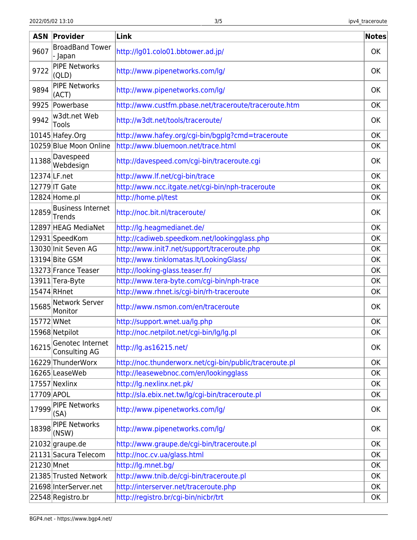| <b>ASN</b>   | Provider                           | Link                                                    | <b>Notes</b> |
|--------------|------------------------------------|---------------------------------------------------------|--------------|
| 9607         | <b>BroadBand Tower</b><br>- Japan  | http://lg01.colo01.bbtower.ad.jp/                       | OK           |
| 9722         | <b>PIPE Networks</b><br>(QLD)      | http://www.pipenetworks.com/lg/                         | OK           |
| 9894         | <b>PIPE Networks</b><br>(ACT)      | http://www.pipenetworks.com/lg/                         | <b>OK</b>    |
| 9925         | Powerbase                          | http://www.custfm.pbase.net/traceroute/traceroute.htm   | OK           |
| 9942         | w3dt.net Web<br>Tools              | http://w3dt.net/tools/traceroute/                       | OK           |
|              | 10145 Hafey.Org                    | http://www.hafey.org/cgi-bin/bgplg?cmd=traceroute       | OK           |
|              | 10259 Blue Moon Online             | http://www.bluemoon.net/trace.html                      | OK           |
| 11388        | Davespeed<br>Webdesign             | http://davespeed.com/cgi-bin/traceroute.cgi             | OK           |
| 12374 LF.net |                                    | http://www.lf.net/cgi-bin/trace                         | <b>OK</b>    |
|              | $ 12779 $ IT Gate                  | http://www.ncc.itgate.net/cgi-bin/nph-traceroute        | OK           |
|              | 12824 Home.pl                      | http://home.pl/test                                     | <b>OK</b>    |
| 12859        | <b>Business Internet</b><br>Trends | http://noc.bit.nl/traceroute/                           | <b>OK</b>    |
|              | 12897 HEAG MediaNet                | http://lg.heagmedianet.de/                              | OK           |
|              | 12931 SpeedKom                     | http://cadiweb.speedkom.net/lookingglass.php            | <b>OK</b>    |
|              | 13030 Init Seven AG                | http://www.init7.net/support/traceroute.php             | OK           |
|              | 13194 Bite GSM                     | http://www.tinklomatas.lt/LookingGlass/                 | <b>OK</b>    |
|              | 13273 France Teaser                | http://looking-glass.teaser.fr/                         | OK           |
|              | 13911 Tera-Byte                    | http://www.tera-byte.com/cgi-bin/nph-trace              | OK           |
| 15474 RHnet  |                                    | http://www.rhnet.is/cgi-bin/rh-traceroute               | <b>OK</b>    |
| 15685        | Network Server<br>Monitor          | http://www.nsmon.com/en/traceroute                      | OK           |
| 15772 WNet   |                                    | http://support.wnet.ua/lg.php                           | OK           |
|              | 15968 Netpilot                     | http://noc.netpilot.net/cgi-bin/lg/lg.pl                | OK           |
| 16215        | Genotec Internet<br>Consulting AG  | http://lg.as16215.net/                                  | OK           |
|              | 16229 ThunderWorx                  | http://noc.thunderworx.net/cgi-bin/public/traceroute.pl | <b>OK</b>    |
|              | 16265 Lease Web                    | http://leasewebnoc.com/en/lookingglass                  | OK           |
|              | 17557 Nexlinx                      | http://lg.nexlinx.net.pk/                               | OK           |
| 17709 APOL   |                                    | http://sla.ebix.net.tw/lg/cgi-bin/traceroute.pl         | 0K           |
| 17999        | <b>PIPE Networks</b><br>(SA)       | http://www.pipenetworks.com/lg/                         | <b>OK</b>    |
| 18398        | <b>PIPE Networks</b><br>(NSW)      | http://www.pipenetworks.com/lg/                         | <b>OK</b>    |
|              | $ 21032 $ graupe.de                | http://www.graupe.de/cgi-bin/traceroute.pl              | <b>OK</b>    |
|              | 21131 Sacura Telecom               | http://noc.cv.ua/glass.html                             | OK           |
| 21230 Mnet   |                                    | http://lg.mnet.bg/                                      | OK           |
|              | 21385 Trusted Network              | http://www.tnib.de/cgi-bin/traceroute.pl                | <b>OK</b>    |
|              | 21698 InterServer.net              | http://interserver.net/traceroute.php                   | OK           |
|              | 22548 Registro.br                  | http://registro.br/cgi-bin/nicbr/trt                    | OK           |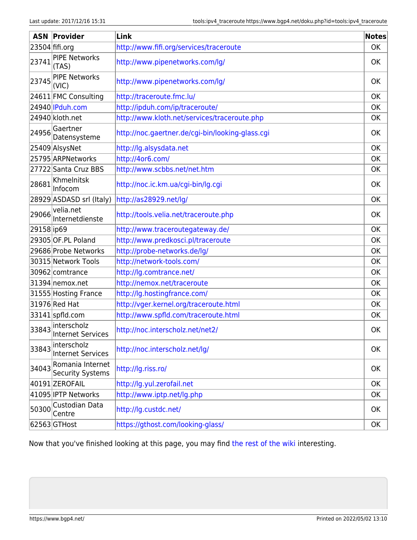| <b>ASN</b> | Provider                                       | Link                                             | <b>Notes</b> |
|------------|------------------------------------------------|--------------------------------------------------|--------------|
|            | $23504$ fifi.org                               | http://www.fifi.org/services/traceroute          | <b>OK</b>    |
| 23741      | <b>PIPE Networks</b><br>(TAS)                  | http://www.pipenetworks.com/lg/                  | <b>OK</b>    |
| 23745      | <b>PIPE Networks</b><br>(VIC)                  | http://www.pipenetworks.com/lg/                  | OK           |
|            | 24611 FMC Consulting                           | http://traceroute.fmc.lu/                        | OK           |
|            | 24940   IPduh.com                              | http://ipduh.com/ip/traceroute/                  | OK           |
|            | 24940 kloth.net                                | http://www.kloth.net/services/traceroute.php     | OK           |
| 24956      | Gaertner<br>Datensysteme                       | http://noc.gaertner.de/cgi-bin/looking-glass.cgi | <b>OK</b>    |
|            | 25409 AlsysNet                                 | http://lg.alsysdata.net                          | OK           |
|            | 25795 ARPNetworks                              | http://4or6.com/                                 | OK           |
|            | 27722 Santa Cruz BBS                           | http://www.scbbs.net/net.htm                     | OK           |
| 28681      | Khmelnitsk<br>Infocom                          | http://noc.ic.km.ua/cgi-bin/lg.cgi               | OK           |
|            | 28929 ASDASD srl (Italy)                       | http://as28929.net/lg/                           | OK           |
| 29066      | velia.net<br>Internetdienste                   | http://tools.velia.net/traceroute.php            | <b>OK</b>    |
| 29158 ip69 |                                                | http://www.traceroutegateway.de/                 | OK           |
|            | 29305 OF.PL Poland                             | http://www.predkosci.pl/traceroute               | OK           |
|            | 29686 Probe Networks                           | http://probe-networks.de/lg/                     | <b>OK</b>    |
|            | 30315 Network Tools                            | http://network-tools.com/                        | OK           |
|            | 30962 comtrance                                | http://lg.comtrance.net/                         | OK           |
|            | 31394 nemox.net                                | http://nemox.net/traceroute                      | OK           |
|            | 31555 Hosting France                           | http://lg.hostingfrance.com/                     | <b>OK</b>    |
|            | 31976 Red Hat                                  | http://vger.kernel.org/traceroute.html           | <b>OK</b>    |
|            | 33141 spfld.com                                | http://www.spfld.com/traceroute.html             | OK           |
|            | $33843$ interscholz<br>33843 Internet Services | http://noc.interscholz.net/net2/                 | OK           |
| 33843      | interscholz<br><b>Internet Services</b>        | http://noc.interscholz.net/lg/                   | OK           |
| 34043      | Romania Internet<br><b>Security Systems</b>    | http://lg.riss.ro/                               | OK           |
|            | 40191 ZEROFAIL                                 | http://lg.yul.zerofail.net                       | OK           |
|            | 41095 IPTP Networks                            | http://www.iptp.net/lg.php                       | OK           |
| 50300      | Custodian Data<br>Centre                       | http://lg.custdc.net/                            | <b>OK</b>    |
|            | 62563 GTHost                                   | https://gthost.com/looking-glass/                | OK           |

Now that you've finished looking at this page, you may find [the rest of the wiki](https://www.bgp4.net/doku.php?id=start) interesting.